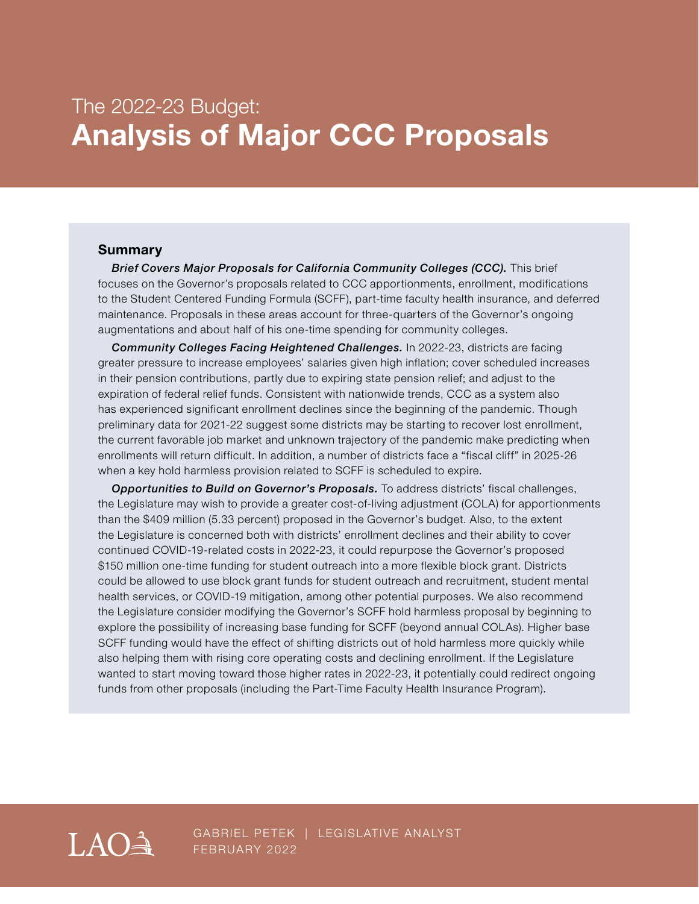# The 2022-23 Budget: **Analysis of Major CCC Proposals**

#### **Summary**

*Brief Covers Major Proposals for California Community Colleges (CCC).* This brief focuses on the Governor's proposals related to CCC apportionments, enrollment, modifications to the Student Centered Funding Formula (SCFF), part-time faculty health insurance, and deferred maintenance. Proposals in these areas account for three-quarters of the Governor's ongoing augmentations and about half of his one-time spending for community colleges.

*Community Colleges Facing Heightened Challenges.* In 2022-23, districts are facing greater pressure to increase employees' salaries given high inflation; cover scheduled increases in their pension contributions, partly due to expiring state pension relief; and adjust to the expiration of federal relief funds. Consistent with nationwide trends, CCC as a system also has experienced significant enrollment declines since the beginning of the pandemic. Though preliminary data for 2021-22 suggest some districts may be starting to recover lost enrollment, the current favorable job market and unknown trajectory of the pandemic make predicting when enrollments will return difficult. In addition, a number of districts face a "fiscal cliff" in 2025-26 when a key hold harmless provision related to SCFF is scheduled to expire.

*Opportunities to Build on Governor's Proposals.* To address districts' fiscal challenges, the Legislature may wish to provide a greater cost-of-living adjustment (COLA) for apportionments than the \$409 million (5.33 percent) proposed in the Governor's budget. Also, to the extent the Legislature is concerned both with districts' enrollment declines and their ability to cover continued COVID-19-related costs in 2022-23, it could repurpose the Governor's proposed \$150 million one-time funding for student outreach into a more flexible block grant. Districts could be allowed to use block grant funds for student outreach and recruitment, student mental health services, or COVID-19 mitigation, among other potential purposes. We also recommend the Legislature consider modifying the Governor's SCFF hold harmless proposal by beginning to explore the possibility of increasing base funding for SCFF (beyond annual COLAs). Higher base SCFF funding would have the effect of shifting districts out of hold harmless more quickly while also helping them with rising core operating costs and declining enrollment. If the Legislature wanted to start moving toward those higher rates in 2022-23, it potentially could redirect ongoing funds from other proposals (including the Part-Time Faculty Health Insurance Program).

LAOL

GABRIEL PETEK | LEGISLATIVE ANALYST FEBRUARY 2022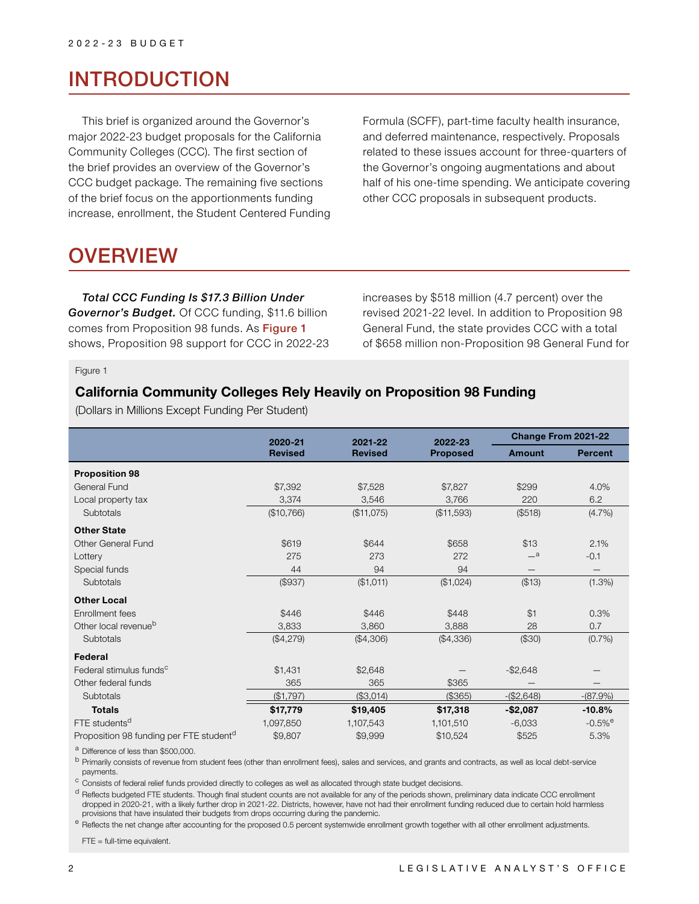# INTRODUCTION

This brief is organized around the Governor's major 2022-23 budget proposals for the California Community Colleges (CCC). The first section of the brief provides an overview of the Governor's CCC budget package. The remaining five sections of the brief focus on the apportionments funding increase, enrollment, the Student Centered Funding Formula (SCFF), part-time faculty health insurance, and deferred maintenance, respectively. Proposals related to these issues account for three-quarters of the Governor's ongoing augmentations and about half of his one-time spending. We anticipate covering other CCC proposals in subsequent products.

# OVERVIEW

*Total CCC Funding Is \$17.3 Billion Under Governor's Budget.* Of CCC funding, \$11.6 billion comes from Proposition 98 funds. As Figure 1 shows, Proposition 98 support for CCC in 2022-23 increases by \$518 million (4.7 percent) over the revised 2021-22 level. In addition to Proposition 98 General Fund, the state provides CCC with a total of \$658 million non-Proposition 98 General Fund for

Figure 1

### **California Community Colleges Rely Heavily on Proposition 98 Funding**

(Dollars in Millions Except Funding Per Student)

|                                                     | 2020-21        | 2021-22        | 2022-23         | Change From 2021-22 |                          |
|-----------------------------------------------------|----------------|----------------|-----------------|---------------------|--------------------------|
|                                                     | <b>Revised</b> | <b>Revised</b> | <b>Proposed</b> | <b>Amount</b>       | <b>Percent</b>           |
| <b>Proposition 98</b>                               |                |                |                 |                     |                          |
| General Fund                                        | \$7,392        | \$7,528        | \$7,827         | \$299               | 4.0%                     |
| Local property tax                                  | 3,374          | 3,546          | 3,766           | 220                 | 6.2                      |
| Subtotals                                           | (\$10,766)     | (\$11,075)     | (\$11,593)      | (\$518)             | (4.7%)                   |
| <b>Other State</b>                                  |                |                |                 |                     |                          |
| <b>Other General Fund</b>                           | \$619          | \$644          | \$658           | \$13                | 2.1%                     |
| Lottery                                             | 275            | 273            | 272             | $\equiv$ a          | $-0.1$                   |
| Special funds                                       | 44             | 94             | 94              |                     |                          |
| Subtotals                                           | (\$937)        | (\$1,011)      | (\$1,024)       | (\$13)              | $(1.3\%)$                |
| <b>Other Local</b>                                  |                |                |                 |                     |                          |
| Enrollment fees                                     | \$446          | \$446          | \$448           | \$1                 | 0.3%                     |
| Other local revenue <sup>b</sup>                    | 3,833          | 3,860          | 3,888           | 28                  | 0.7                      |
| Subtotals                                           | (\$4,279)      | (\$4,306)      | (\$4,336)       | (\$30)              | $(0.7\%)$                |
| Federal                                             |                |                |                 |                     |                          |
| Federal stimulus funds <sup>c</sup>                 | \$1,431        | \$2,648        |                 | $-$2,648$           |                          |
| Other federal funds                                 | 365            | 365            | \$365           |                     | $\overline{\phantom{0}}$ |
| Subtotals                                           | (\$1,797)      | (\$3,014)      | (\$365)         | $-($2,648)$         | $-(87.9%)$               |
| <b>Totals</b>                                       | \$17,779       | \$19,405       | \$17,318        | $-$2,087$           | $-10.8%$                 |
| FTE students <sup>d</sup>                           | 1,097,850      | 1,107,543      | 1,101,510       | $-6,033$            | $-0.5%$ <sup>e</sup>     |
| Proposition 98 funding per FTE student <sup>d</sup> | \$9,807        | \$9,999        | \$10,524        | \$525               | 5.3%                     |

<sup>a</sup> Difference of less than \$500,000.

b Primarily consists of revenue from student fees (other than enrollment fees), sales and services, and grants and contracts, as well as local debt-service payments.

c Consists of federal relief funds provided directly to colleges as well as allocated through state budget decisions.

<sup>d</sup> Reflects budgeted FTE students. Though final student counts are not available for any of the periods shown, preliminary data indicate CCC enrollment dropped in 2020-21, with a likely further drop in 2021-22. Districts, however, have not had their enrollment funding reduced due to certain hold harmless provisions that have insulated their budgets from drops occurring during the pandemic.

e Reflects the net change after accounting for the proposed 0.5 percent systemwide enrollment growth together with all other enrollment adjustments.

FTE = full-time equivalent.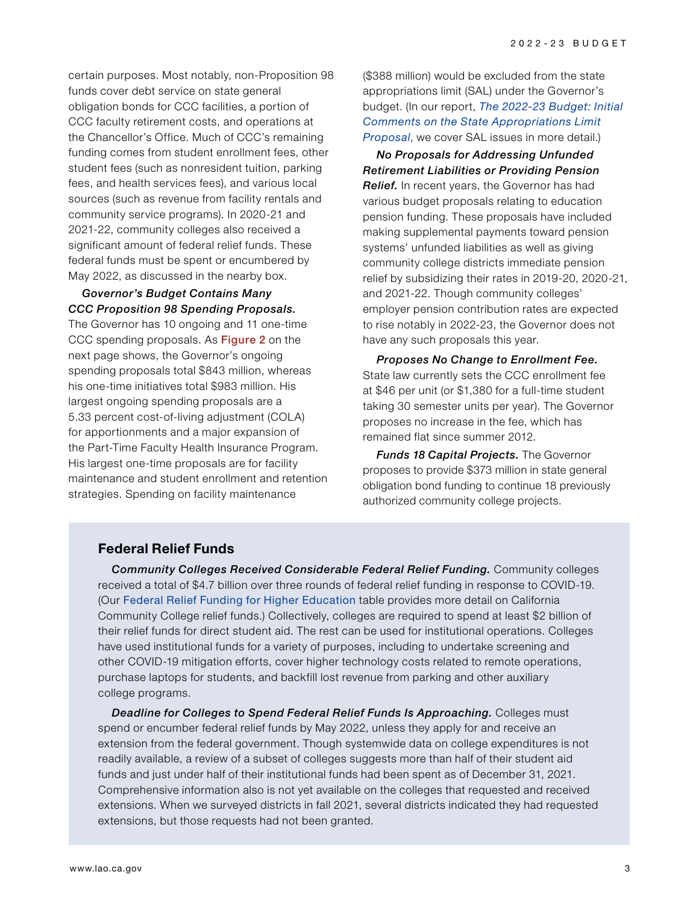certain purposes. Most notably, non-Proposition 98 funds cover debt service on state general obligation bonds for CCC facilities, a portion of CCC faculty retirement costs, and operations at the Chancellor's Office. Much of CCC's remaining funding comes from student enrollment fees, other student fees (such as nonresident tuition, parking fees, and health services fees), and various local sources (such as revenue from facility rentals and community service programs). In 2020-21 and 2021-22, community colleges also received a significant amount of federal relief funds. These federal funds must be spent or encumbered by May 2022, as discussed in the nearby box.

*Governor's Budget Contains Many CCC Proposition 98 Spending Proposals.* 

The Governor has 10 ongoing and 11 one-time CCC spending proposals. As Figure 2 on the next page shows, the Governor's ongoing spending proposals total \$843 million, whereas his one-time initiatives total \$983 million. His largest ongoing spending proposals are a 5.33 percent cost-of-living adjustment (COLA) for apportionments and a major expansion of the Part-Time Faculty Health Insurance Program. His largest one-time proposals are for facility maintenance and student enrollment and retention strategies. Spending on facility maintenance

(\$388 million) would be excluded from the state appropriations limit (SAL) under the Governor's budget. (In our report, *[The 2022-23 Budget: Initial](https://lao.ca.gov/Publications/Report/4515)  [Comments on the State Appropriations Limit](https://lao.ca.gov/Publications/Report/4515)  [Proposal](https://lao.ca.gov/Publications/Report/4515)*, we cover SAL issues in more detail.)

*No Proposals for Addressing Unfunded Retirement Liabilities or Providing Pension Relief.* In recent years, the Governor has had various budget proposals relating to education pension funding. These proposals have included making supplemental payments toward pension systems' unfunded liabilities as well as giving community college districts immediate pension relief by subsidizing their rates in 2019-20, 2020-21, and 2021-22. Though community colleges' employer pension contribution rates are expected to rise notably in 2022-23, the Governor does not have any such proposals this year.

*Proposes No Change to Enrollment Fee.*  State law currently sets the CCC enrollment fee at \$46 per unit (or \$1,380 for a full-time student taking 30 semester units per year). The Governor proposes no increase in the fee, which has remained flat since summer 2012.

*Funds 18 Capital Projects.* The Governor proposes to provide \$373 million in state general obligation bond funding to continue 18 previously authorized community college projects.

#### **Federal Relief Funds**

*Community Colleges Received Considerable Federal Relief Funding.* Community colleges received a total of \$4.7 billion over three rounds of federal relief funding in response to COVID-19. (Our [Federal Relief Funding for Higher Education](https://lao.ca.gov/Education/EdBudget/Details/522) table provides more detail on California Community College relief funds.) Collectively, colleges are required to spend at least \$2 billion of their relief funds for direct student aid. The rest can be used for institutional operations. Colleges have used institutional funds for a variety of purposes, including to undertake screening and other COVID-19 mitigation efforts, cover higher technology costs related to remote operations, purchase laptops for students, and backfill lost revenue from parking and other auxiliary college programs.

**Deadline for Colleges to Spend Federal Relief Funds Is Approaching.** Colleges must spend or encumber federal relief funds by May 2022, unless they apply for and receive an extension from the federal government. Though systemwide data on college expenditures is not readily available, a review of a subset of colleges suggests more than half of their student aid funds and just under half of their institutional funds had been spent as of December 31, 2021. Comprehensive information also is not yet available on the colleges that requested and received extensions. When we surveyed districts in fall 2021, several districts indicated they had requested extensions, but those requests had not been granted.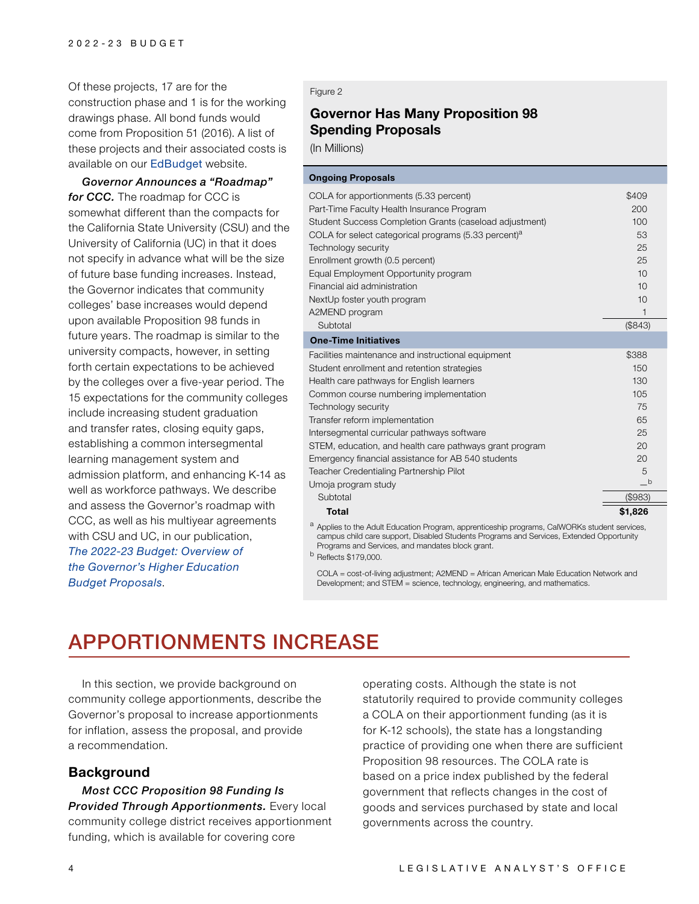Of these projects, 17 are for the construction phase and 1 is for the working drawings phase. All bond funds would come from Proposition 51 (2016). A list of these projects and their associated costs is available on our [EdBudget](https://lao.ca.gov/Education/EdBudget/Details/571) website.

*Governor Announces a "Roadmap" for CCC.* The roadmap for CCC is somewhat different than the compacts for the California State University (CSU) and the University of California (UC) in that it does not specify in advance what will be the size of future base funding increases. Instead, the Governor indicates that community colleges' base increases would depend upon available Proposition 98 funds in future years. The roadmap is similar to the university compacts, however, in setting forth certain expectations to be achieved by the colleges over a five-year period. The 15 expectations for the community colleges include increasing student graduation and transfer rates, closing equity gaps, establishing a common intersegmental learning management system and admission platform, and enhancing K-14 as well as workforce pathways. We describe and assess the Governor's roadmap with CCC, as well as his multiyear agreements with CSU and UC, in our publication, *[The 2022-23 Budget: Overview of](https://lao.ca.gov/Publications/Report/4499)  [the Governor's Higher Education](https://lao.ca.gov/Publications/Report/4499)  Budget [Proposals](https://lao.ca.gov/Publications/Report/4499)*.

#### Figure 2

# **Governor Has Many Proposition 98 Spending Proposals**

(In Millions)

| <b>Ongoing Proposals</b>                                                                                                                                                                                                                                                                                                                                                                                                                                                            |                                                                       |
|-------------------------------------------------------------------------------------------------------------------------------------------------------------------------------------------------------------------------------------------------------------------------------------------------------------------------------------------------------------------------------------------------------------------------------------------------------------------------------------|-----------------------------------------------------------------------|
| COLA for apportionments (5.33 percent)<br>Part-Time Faculty Health Insurance Program<br>Student Success Completion Grants (caseload adjustment)<br>COLA for select categorical programs $(5.33$ percent) <sup>a</sup><br>Technology security<br>Enrollment growth (0.5 percent)                                                                                                                                                                                                     | \$409<br>200<br>100<br>53<br>25<br>25                                 |
| Equal Employment Opportunity program                                                                                                                                                                                                                                                                                                                                                                                                                                                | 10                                                                    |
| Financial aid administration                                                                                                                                                                                                                                                                                                                                                                                                                                                        | 10                                                                    |
| NextUp foster youth program<br>A2MEND program                                                                                                                                                                                                                                                                                                                                                                                                                                       | 10<br>1                                                               |
| Subtotal                                                                                                                                                                                                                                                                                                                                                                                                                                                                            | (\$843)                                                               |
| <b>One-Time Initiatives</b>                                                                                                                                                                                                                                                                                                                                                                                                                                                         |                                                                       |
| Facilities maintenance and instructional equipment<br>Student enrollment and retention strategies<br>Health care pathways for English learners<br>Common course numbering implementation<br>Technology security<br>Transfer reform implementation<br>Intersegmental curricular pathways software<br>STEM, education, and health care pathways grant program<br>Emergency financial assistance for AB 540 students<br>Teacher Credentialing Partnership Pilot<br>Umoja program study | \$388<br>150<br>130<br>105<br>75<br>65<br>25<br>20<br>20<br>5<br>$-b$ |
| Subtotal                                                                                                                                                                                                                                                                                                                                                                                                                                                                            | ( \$983)                                                              |
| <b>Total</b>                                                                                                                                                                                                                                                                                                                                                                                                                                                                        | \$1,826                                                               |

<sup>a</sup> Applies to the Adult Education Program, apprenticeship programs, CalWORKs student services, campus child care support, Disabled Students Programs and Services, Extended Opportunity Programs and Services, and mandates block grant.

<sup>b</sup> Reflects \$179,000.

COLA = cost-of-living adjustment; A2MEND = African American Male Education Network and Development; and STEM = science, technology, engineering, and mathematics.

# APPORTIONMENTS INCREASE

In this section, we provide background on community college apportionments, describe the Governor's proposal to increase apportionments for inflation, assess the proposal, and provide a recommendation.

#### **Background**

*Most CCC Proposition 98 Funding Is Provided Through Apportionments.* Every local community college district receives apportionment funding, which is available for covering core

operating costs. Although the state is not statutorily required to provide community colleges a COLA on their apportionment funding (as it is for K-12 schools), the state has a longstanding practice of providing one when there are sufficient Proposition 98 resources. The COLA rate is based on a price index published by the federal government that reflects changes in the cost of goods and services purchased by state and local governments across the country.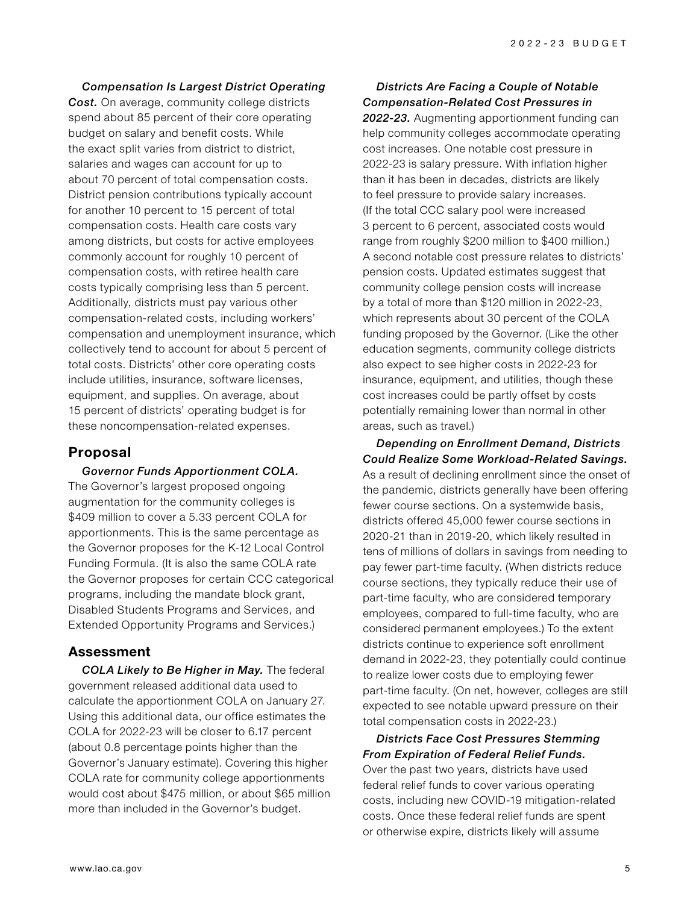*Compensation Is Largest District Operating*  **Cost.** On average, community college districts spend about 85 percent of their core operating budget on salary and benefit costs. While the exact split varies from district to district, salaries and wages can account for up to about 70 percent of total compensation costs. District pension contributions typically account for another 10 percent to 15 percent of total compensation costs. Health care costs vary among districts, but costs for active employees commonly account for roughly 10 percent of compensation costs, with retiree health care costs typically comprising less than 5 percent. Additionally, districts must pay various other compensation-related costs, including workers' compensation and unemployment insurance, which collectively tend to account for about 5 percent of total costs. Districts' other core operating costs include utilities, insurance, software licenses, equipment, and supplies. On average, about 15 percent of districts' operating budget is for these noncompensation-related expenses.

# **Proposal**

*Governor Funds Apportionment COLA.*  The Governor's largest proposed ongoing augmentation for the community colleges is \$409 million to cover a 5.33 percent COLA for apportionments. This is the same percentage as the Governor proposes for the K-12 Local Control Funding Formula. (It is also the same COLA rate the Governor proposes for certain CCC categorical programs, including the mandate block grant, Disabled Students Programs and Services, and Extended Opportunity Programs and Services.)

# **Assessment**

*COLA Likely to Be Higher in May.* The federal government released additional data used to calculate the apportionment COLA on January 27. Using this additional data, our office estimates the COLA for 2022-23 will be closer to 6.17 percent (about 0.8 percentage points higher than the Governor's January estimate). Covering this higher COLA rate for community college apportionments would cost about \$475 million, or about \$65 million more than included in the Governor's budget.

## *Districts Are Facing a Couple of Notable Compensation-Related Cost Pressures in*

*2022-23.* Augmenting apportionment funding can help community colleges accommodate operating cost increases. One notable cost pressure in 2022-23 is salary pressure. With inflation higher than it has been in decades, districts are likely to feel pressure to provide salary increases. (If the total CCC salary pool were increased 3 percent to 6 percent, associated costs would range from roughly \$200 million to \$400 million.) A second notable cost pressure relates to districts' pension costs. Updated estimates suggest that community college pension costs will increase by a total of more than \$120 million in 2022-23, which represents about 30 percent of the COLA funding proposed by the Governor. (Like the other education segments, community college districts also expect to see higher costs in 2022-23 for insurance, equipment, and utilities, though these cost increases could be partly offset by costs potentially remaining lower than normal in other areas, such as travel.)

*Depending on Enrollment Demand, Districts Could Realize Some Workload-Related Savings.* As a result of declining enrollment since the onset of the pandemic, districts generally have been offering fewer course sections. On a systemwide basis, districts offered 45,000 fewer course sections in 2020-21 than in 2019-20, which likely resulted in tens of millions of dollars in savings from needing to pay fewer part-time faculty. (When districts reduce course sections, they typically reduce their use of part-time faculty, who are considered temporary employees, compared to full-time faculty, who are considered permanent employees.) To the extent districts continue to experience soft enrollment demand in 2022-23, they potentially could continue to realize lower costs due to employing fewer part-time faculty. (On net, however, colleges are still expected to see notable upward pressure on their total compensation costs in 2022-23.)

*Districts Face Cost Pressures Stemming From Expiration of Federal Relief Funds.*  Over the past two years, districts have used federal relief funds to cover various operating costs, including new COVID-19 mitigation-related costs. Once these federal relief funds are spent or otherwise expire, districts likely will assume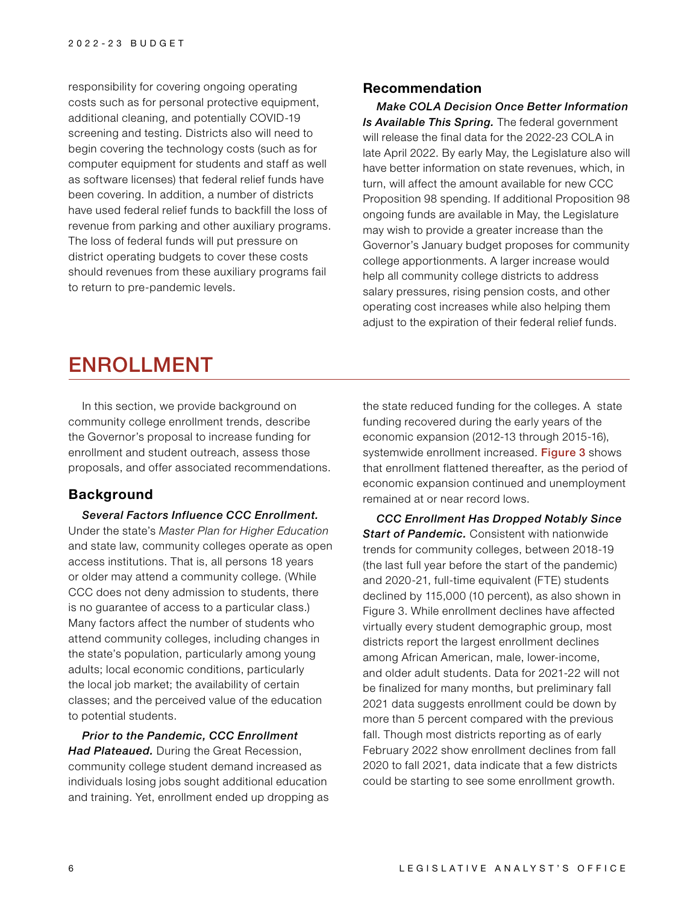responsibility for covering ongoing operating costs such as for personal protective equipment, additional cleaning, and potentially COVID-19 screening and testing. Districts also will need to begin covering the technology costs (such as for computer equipment for students and staff as well as software licenses) that federal relief funds have been covering. In addition, a number of districts have used federal relief funds to backfill the loss of revenue from parking and other auxiliary programs. The loss of federal funds will put pressure on district operating budgets to cover these costs should revenues from these auxiliary programs fail to return to pre-pandemic levels.

#### **Recommendation**

*Make COLA Decision Once Better Information Is Available This Spring.* The federal government will release the final data for the 2022-23 COLA in late April 2022. By early May, the Legislature also will have better information on state revenues, which, in turn, will affect the amount available for new CCC Proposition 98 spending. If additional Proposition 98 ongoing funds are available in May, the Legislature may wish to provide a greater increase than the Governor's January budget proposes for community college apportionments. A larger increase would help all community college districts to address salary pressures, rising pension costs, and other operating cost increases while also helping them adjust to the expiration of their federal relief funds.

# ENROLLMENT

In this section, we provide background on community college enrollment trends, describe the Governor's proposal to increase funding for enrollment and student outreach, assess those proposals, and offer associated recommendations.

### **Background**

*Several Factors Influence CCC Enrollment.*  Under the state's *Master Plan for Higher Education*  and state law, community colleges operate as open access institutions. That is, all persons 18 years or older may attend a community college. (While CCC does not deny admission to students, there is no guarantee of access to a particular class.) Many factors affect the number of students who attend community colleges, including changes in the state's population, particularly among young adults; local economic conditions, particularly the local job market; the availability of certain classes; and the perceived value of the education to potential students.

*Prior to the Pandemic, CCC Enrollment Had Plateaued.* During the Great Recession, community college student demand increased as individuals losing jobs sought additional education and training. Yet, enrollment ended up dropping as

the state reduced funding for the colleges. A state funding recovered during the early years of the economic expansion (2012-13 through 2015-16), systemwide enrollment increased. Figure 3 shows that enrollment flattened thereafter, as the period of economic expansion continued and unemployment remained at or near record lows.

*CCC Enrollment Has Dropped Notably Since Start of Pandemic.* Consistent with nationwide trends for community colleges, between 2018-19 (the last full year before the start of the pandemic) and 2020-21, full-time equivalent (FTE) students declined by 115,000 (10 percent), as also shown in Figure 3. While enrollment declines have affected virtually every student demographic group, most districts report the largest enrollment declines among African American, male, lower-income, and older adult students. Data for 2021-22 will not be finalized for many months, but preliminary fall 2021 data suggests enrollment could be down by more than 5 percent compared with the previous fall. Though most districts reporting as of early February 2022 show enrollment declines from fall 2020 to fall 2021, data indicate that a few districts could be starting to see some enrollment growth.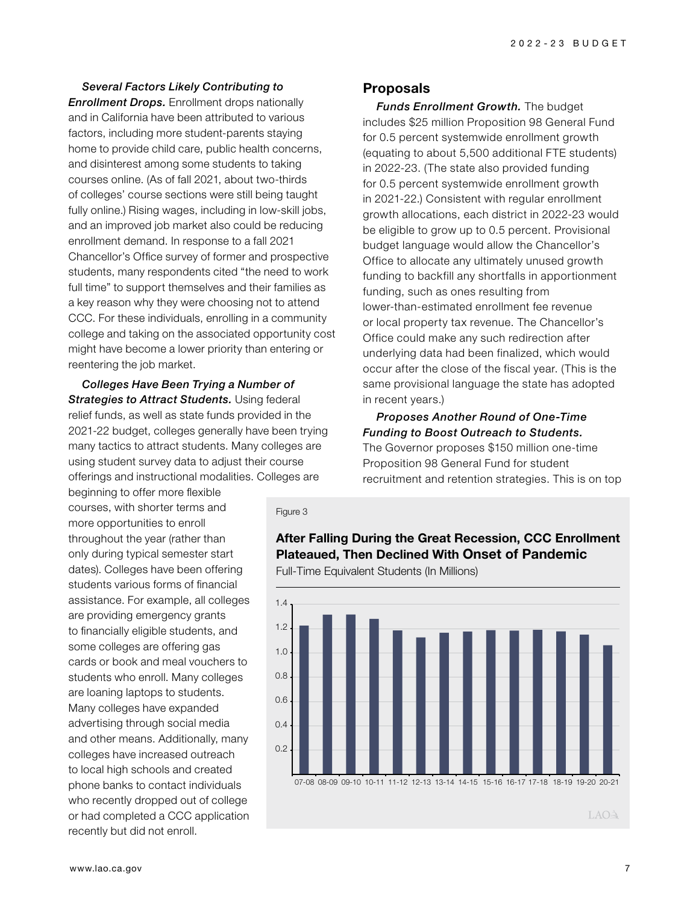*Several Factors Likely Contributing to Enrollment Drops.* Enrollment drops nationally and in California have been attributed to various factors, including more student-parents staying home to provide child care, public health concerns, and disinterest among some students to taking courses online. (As of fall 2021, about two-thirds of colleges' course sections were still being taught fully online.) Rising wages, including in low-skill jobs, and an improved job market also could be reducing enrollment demand. In response to a fall 2021 Chancellor's Office survey of former and prospective students, many respondents cited "the need to work full time" to support themselves and their families as a key reason why they were choosing not to attend CCC. For these individuals, enrolling in a community college and taking on the associated opportunity cost might have become a lower priority than entering or reentering the job market.

*Colleges Have Been Trying a Number of Strategies to Attract Students.* Using federal relief funds, as well as state funds provided in the 2021-22 budget, colleges generally have been trying many tactics to attract students. Many colleges are using student survey data to adjust their course offerings and instructional modalities. Colleges are

**Proposals**

*Funds Enrollment Growth.* The budget includes \$25 million Proposition 98 General Fund for 0.5 percent systemwide enrollment growth (equating to about 5,500 additional FTE students) in 2022-23. (The state also provided funding for 0.5 percent systemwide enrollment growth in 2021-22.) Consistent with regular enrollment growth allocations, each district in 2022-23 would be eligible to grow up to 0.5 percent. Provisional budget language would allow the Chancellor's Office to allocate any ultimately unused growth funding to backfill any shortfalls in apportionment funding, such as ones resulting from lower-than-estimated enrollment fee revenue or local property tax revenue. The Chancellor's Office could make any such redirection after underlying data had been finalized, which would occur after the close of the fiscal year. (This is the same provisional language the state has adopted in recent years.)

### *Proposes Another Round of One-Time Funding to Boost Outreach to Students.*  The Governor proposes \$150 million one-time Proposition 98 General Fund for student

recruitment and retention strategies. This is on top

courses, with shorter terms and more opportunities to enroll throughout the year (rather than only during typical semester start dates). Colleges have been offering students various forms of financial assistance. For example, all colleges are providing emergency grants to financially eligible students, and some colleges are offering gas cards or book and meal vouchers to students who enroll. Many colleges are loaning laptops to students. Many colleges have expanded advertising through social media and other means. Additionally, many colleges have increased outreach to local high schools and created phone banks to contact individuals who recently dropped out of college or had completed a CCC application

beginning to offer more flexible

Full-Time Equivalent Students (In Millions)

Figure 3



**After Falling During the Great Recession, CCC Enrollment** 

**Plateaued, Then Declined With Onset of Pandemic**

LAOA

recently but did not enroll.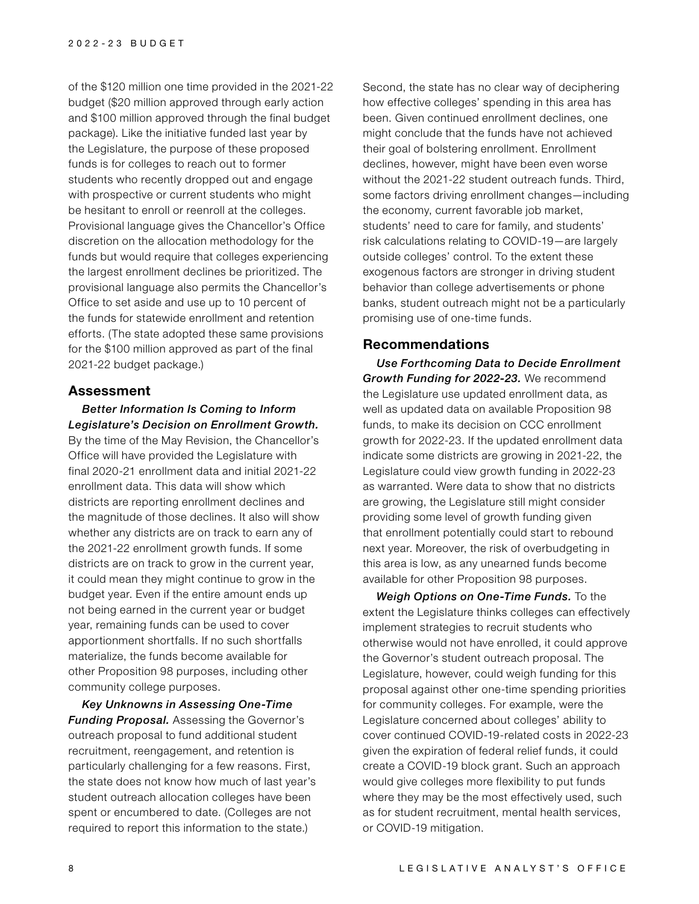of the \$120 million one time provided in the 2021-22 budget (\$20 million approved through early action and \$100 million approved through the final budget package). Like the initiative funded last year by the Legislature, the purpose of these proposed funds is for colleges to reach out to former students who recently dropped out and engage with prospective or current students who might be hesitant to enroll or reenroll at the colleges. Provisional language gives the Chancellor's Office discretion on the allocation methodology for the funds but would require that colleges experiencing the largest enrollment declines be prioritized. The provisional language also permits the Chancellor's Office to set aside and use up to 10 percent of the funds for statewide enrollment and retention efforts. (The state adopted these same provisions for the \$100 million approved as part of the final 2021-22 budget package.)

#### **Assessment**

#### *Better Information Is Coming to Inform Legislature's Decision on Enrollment Growth.*

By the time of the May Revision, the Chancellor's Office will have provided the Legislature with final 2020-21 enrollment data and initial 2021-22 enrollment data. This data will show which districts are reporting enrollment declines and the magnitude of those declines. It also will show whether any districts are on track to earn any of the 2021-22 enrollment growth funds. If some districts are on track to grow in the current year, it could mean they might continue to grow in the budget year. Even if the entire amount ends up not being earned in the current year or budget year, remaining funds can be used to cover apportionment shortfalls. If no such shortfalls materialize, the funds become available for other Proposition 98 purposes, including other community college purposes.

*Key Unknowns in Assessing One-Time Funding Proposal.* Assessing the Governor's outreach proposal to fund additional student recruitment, reengagement, and retention is particularly challenging for a few reasons. First, the state does not know how much of last year's student outreach allocation colleges have been spent or encumbered to date. (Colleges are not required to report this information to the state.)

Second, the state has no clear way of deciphering how effective colleges' spending in this area has been. Given continued enrollment declines, one might conclude that the funds have not achieved their goal of bolstering enrollment. Enrollment declines, however, might have been even worse without the 2021-22 student outreach funds. Third, some factors driving enrollment changes—including the economy, current favorable job market, students' need to care for family, and students' risk calculations relating to COVID-19—are largely outside colleges' control. To the extent these exogenous factors are stronger in driving student behavior than college advertisements or phone banks, student outreach might not be a particularly promising use of one-time funds.

#### **Recommendations**

*Use Forthcoming Data to Decide Enrollment Growth Funding for 2022-23.* We recommend the Legislature use updated enrollment data, as well as updated data on available Proposition 98 funds, to make its decision on CCC enrollment growth for 2022-23. If the updated enrollment data indicate some districts are growing in 2021-22, the Legislature could view growth funding in 2022-23 as warranted. Were data to show that no districts are growing, the Legislature still might consider providing some level of growth funding given that enrollment potentially could start to rebound next year. Moreover, the risk of overbudgeting in this area is low, as any unearned funds become available for other Proposition 98 purposes.

*Weigh Options on One-Time Funds.* To the extent the Legislature thinks colleges can effectively implement strategies to recruit students who otherwise would not have enrolled, it could approve the Governor's student outreach proposal. The Legislature, however, could weigh funding for this proposal against other one-time spending priorities for community colleges. For example, were the Legislature concerned about colleges' ability to cover continued COVID-19-related costs in 2022-23 given the expiration of federal relief funds, it could create a COVID-19 block grant. Such an approach would give colleges more flexibility to put funds where they may be the most effectively used, such as for student recruitment, mental health services, or COVID-19 mitigation.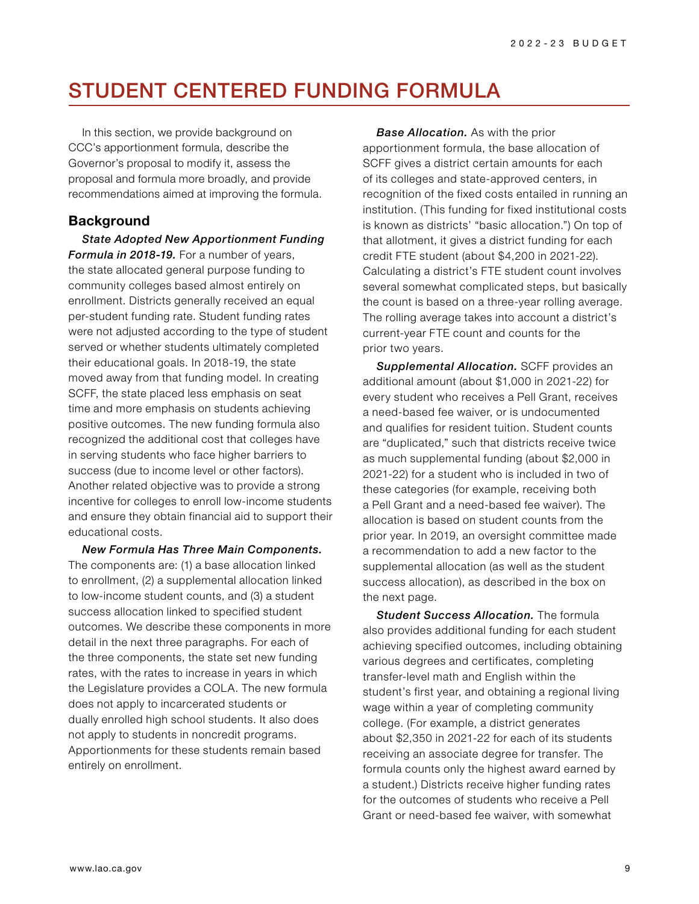# STUDENT CENTERED FUNDING FORMULA

In this section, we provide background on CCC's apportionment formula, describe the Governor's proposal to modify it, assess the proposal and formula more broadly, and provide recommendations aimed at improving the formula.

## **Background**

*State Adopted New Apportionment Funding Formula in 2018-19.* For a number of years, the state allocated general purpose funding to community colleges based almost entirely on enrollment. Districts generally received an equal per-student funding rate. Student funding rates were not adjusted according to the type of student served or whether students ultimately completed their educational goals. In 2018-19, the state moved away from that funding model. In creating SCFF, the state placed less emphasis on seat time and more emphasis on students achieving positive outcomes. The new funding formula also recognized the additional cost that colleges have in serving students who face higher barriers to success (due to income level or other factors). Another related objective was to provide a strong incentive for colleges to enroll low-income students and ensure they obtain financial aid to support their educational costs.

*New Formula Has Three Main Components.* The components are: (1) a base allocation linked to enrollment, (2) a supplemental allocation linked to low-income student counts, and (3) a student success allocation linked to specified student outcomes. We describe these components in more detail in the next three paragraphs. For each of the three components, the state set new funding rates, with the rates to increase in years in which the Legislature provides a COLA. The new formula does not apply to incarcerated students or dually enrolled high school students. It also does not apply to students in noncredit programs. Apportionments for these students remain based entirely on enrollment.

*Base Allocation.* As with the prior apportionment formula, the base allocation of SCFF gives a district certain amounts for each of its colleges and state-approved centers, in recognition of the fixed costs entailed in running an institution. (This funding for fixed institutional costs is known as districts' "basic allocation.") On top of that allotment, it gives a district funding for each credit FTE student (about \$4,200 in 2021-22). Calculating a district's FTE student count involves several somewhat complicated steps, but basically the count is based on a three-year rolling average. The rolling average takes into account a district's current-year FTE count and counts for the prior two years.

*Supplemental Allocation.* SCFF provides an additional amount (about \$1,000 in 2021-22) for every student who receives a Pell Grant, receives a need-based fee waiver, or is undocumented and qualifies for resident tuition. Student counts are "duplicated," such that districts receive twice as much supplemental funding (about \$2,000 in 2021-22) for a student who is included in two of these categories (for example, receiving both a Pell Grant and a need-based fee waiver). The allocation is based on student counts from the prior year. In 2019, an oversight committee made a recommendation to add a new factor to the supplemental allocation (as well as the student success allocation), as described in the box on the next page.

*Student Success Allocation.* The formula also provides additional funding for each student achieving specified outcomes, including obtaining various degrees and certificates, completing transfer-level math and English within the student's first year, and obtaining a regional living wage within a year of completing community college. (For example, a district generates about \$2,350 in 2021-22 for each of its students receiving an associate degree for transfer. The formula counts only the highest award earned by a student.) Districts receive higher funding rates for the outcomes of students who receive a Pell Grant or need-based fee waiver, with somewhat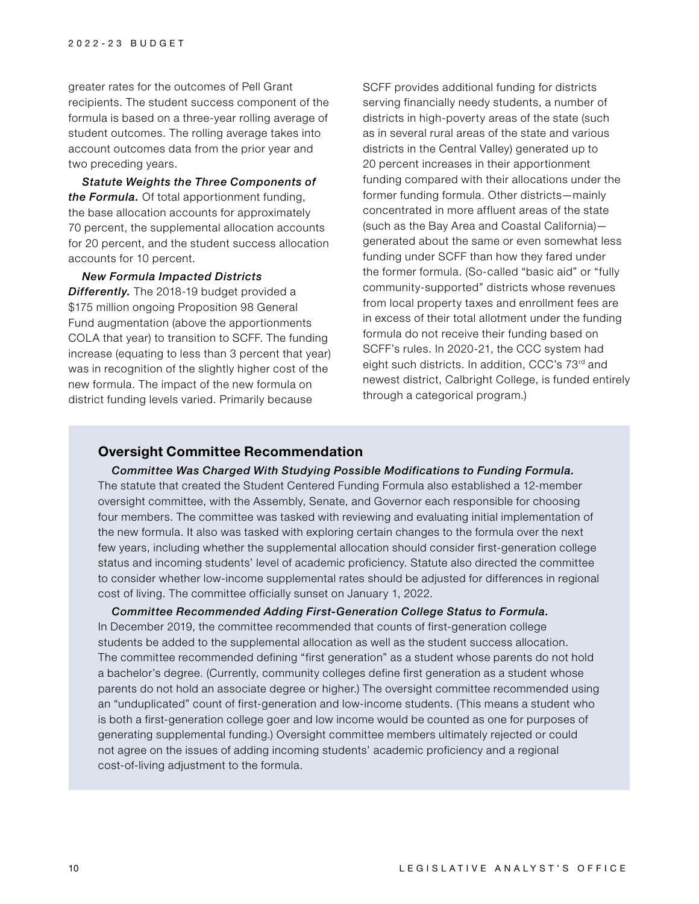greater rates for the outcomes of Pell Grant recipients. The student success component of the formula is based on a three-year rolling average of student outcomes. The rolling average takes into account outcomes data from the prior year and two preceding years.

*Statute Weights the Three Components of the Formula.* Of total apportionment funding, the base allocation accounts for approximately 70 percent, the supplemental allocation accounts for 20 percent, and the student success allocation accounts for 10 percent.

#### *New Formula Impacted Districts*

*Differently.* The 2018-19 budget provided a \$175 million ongoing Proposition 98 General Fund augmentation (above the apportionments COLA that year) to transition to SCFF. The funding increase (equating to less than 3 percent that year) was in recognition of the slightly higher cost of the new formula. The impact of the new formula on district funding levels varied. Primarily because

SCFF provides additional funding for districts serving financially needy students, a number of districts in high-poverty areas of the state (such as in several rural areas of the state and various districts in the Central Valley) generated up to 20 percent increases in their apportionment funding compared with their allocations under the former funding formula. Other districts—mainly concentrated in more affluent areas of the state (such as the Bay Area and Coastal California) generated about the same or even somewhat less funding under SCFF than how they fared under the former formula. (So-called "basic aid" or "fully community-supported" districts whose revenues from local property taxes and enrollment fees are in excess of their total allotment under the funding formula do not receive their funding based on SCFF's rules. In 2020-21, the CCC system had eight such districts. In addition, CCC's 73rd and newest district, Calbright College, is funded entirely through a categorical program.)

#### **Oversight Committee Recommendation**

*Committee Was Charged With Studying Possible Modifications to Funding Formula.* The statute that created the Student Centered Funding Formula also established a 12-member oversight committee, with the Assembly, Senate, and Governor each responsible for choosing four members. The committee was tasked with reviewing and evaluating initial implementation of the new formula. It also was tasked with exploring certain changes to the formula over the next few years, including whether the supplemental allocation should consider first-generation college status and incoming students' level of academic proficiency. Statute also directed the committee to consider whether low-income supplemental rates should be adjusted for differences in regional cost of living. The committee officially sunset on January 1, 2022.

*Committee Recommended Adding First-Generation College Status to Formula.*  In December 2019, the committee recommended that counts of first-generation college students be added to the supplemental allocation as well as the student success allocation. The committee recommended defining "first generation" as a student whose parents do not hold a bachelor's degree. (Currently, community colleges define first generation as a student whose parents do not hold an associate degree or higher.) The oversight committee recommended using an "unduplicated" count of first-generation and low-income students. (This means a student who is both a first-generation college goer and low income would be counted as one for purposes of generating supplemental funding.) Oversight committee members ultimately rejected or could not agree on the issues of adding incoming students' academic proficiency and a regional cost-of-living adjustment to the formula.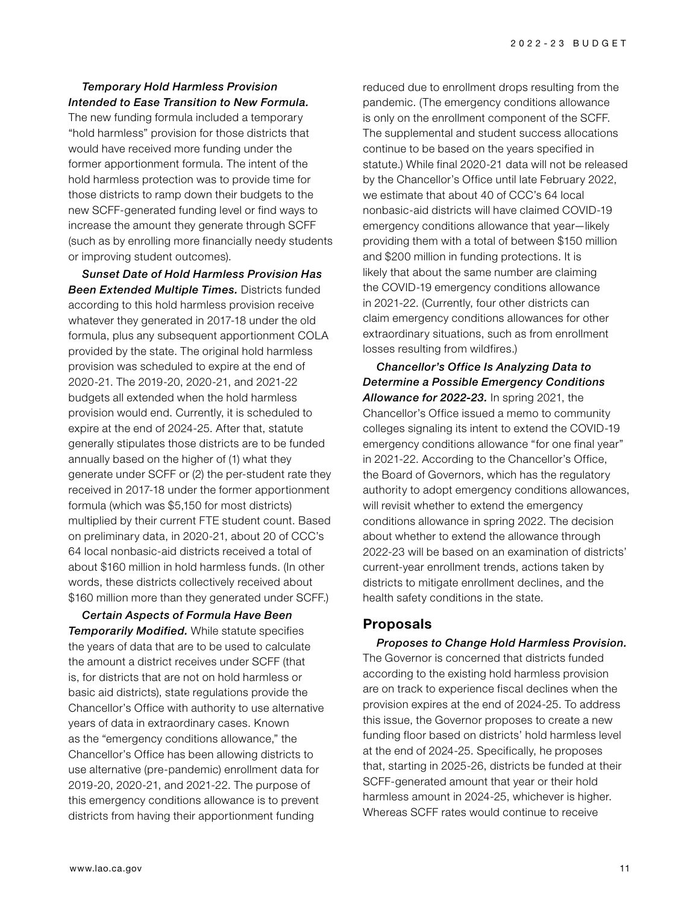#### *Temporary Hold Harmless Provision Intended to Ease Transition to New Formula.*

The new funding formula included a temporary "hold harmless" provision for those districts that would have received more funding under the former apportionment formula. The intent of the hold harmless protection was to provide time for those districts to ramp down their budgets to the new SCFF-generated funding level or find ways to increase the amount they generate through SCFF (such as by enrolling more financially needy students or improving student outcomes).

*Sunset Date of Hold Harmless Provision Has Been Extended Multiple Times.* Districts funded according to this hold harmless provision receive whatever they generated in 2017-18 under the old formula, plus any subsequent apportionment COLA provided by the state. The original hold harmless provision was scheduled to expire at the end of 2020-21. The 2019-20, 2020-21, and 2021-22 budgets all extended when the hold harmless provision would end. Currently, it is scheduled to expire at the end of 2024-25. After that, statute generally stipulates those districts are to be funded annually based on the higher of (1) what they generate under SCFF or (2) the per-student rate they received in 2017-18 under the former apportionment formula (which was \$5,150 for most districts) multiplied by their current FTE student count. Based on preliminary data, in 2020-21, about 20 of CCC's 64 local nonbasic-aid districts received a total of about \$160 million in hold harmless funds. (In other words, these districts collectively received about \$160 million more than they generated under SCFF.)

*Certain Aspects of Formula Have Been Temporarily Modified.* While statute specifies the years of data that are to be used to calculate the amount a district receives under SCFF (that is, for districts that are not on hold harmless or basic aid districts), state regulations provide the Chancellor's Office with authority to use alternative years of data in extraordinary cases. Known as the "emergency conditions allowance," the Chancellor's Office has been allowing districts to use alternative (pre-pandemic) enrollment data for 2019-20, 2020-21, and 2021-22. The purpose of this emergency conditions allowance is to prevent districts from having their apportionment funding

reduced due to enrollment drops resulting from the pandemic. (The emergency conditions allowance is only on the enrollment component of the SCFF. The supplemental and student success allocations continue to be based on the years specified in statute.) While final 2020-21 data will not be released by the Chancellor's Office until late February 2022, we estimate that about 40 of CCC's 64 local nonbasic-aid districts will have claimed COVID-19 emergency conditions allowance that year—likely providing them with a total of between \$150 million and \$200 million in funding protections. It is likely that about the same number are claiming the COVID-19 emergency conditions allowance in 2021-22. (Currently, four other districts can claim emergency conditions allowances for other extraordinary situations, such as from enrollment losses resulting from wildfires.)

*Chancellor's Office Is Analyzing Data to Determine a Possible Emergency Conditions Allowance for 2022-23.* In spring 2021, the Chancellor's Office issued a memo to community colleges signaling its intent to extend the COVID-19 emergency conditions allowance "for one final year" in 2021-22. According to the Chancellor's Office, the Board of Governors, which has the regulatory authority to adopt emergency conditions allowances, will revisit whether to extend the emergency conditions allowance in spring 2022. The decision about whether to extend the allowance through 2022-23 will be based on an examination of districts' current-year enrollment trends, actions taken by districts to mitigate enrollment declines, and the health safety conditions in the state.

# **Proposals**

*Proposes to Change Hold Harmless Provision.*  The Governor is concerned that districts funded according to the existing hold harmless provision are on track to experience fiscal declines when the provision expires at the end of 2024-25. To address this issue, the Governor proposes to create a new funding floor based on districts' hold harmless level at the end of 2024-25. Specifically, he proposes that, starting in 2025-26, districts be funded at their SCFF-generated amount that year or their hold harmless amount in 2024-25, whichever is higher. Whereas SCFF rates would continue to receive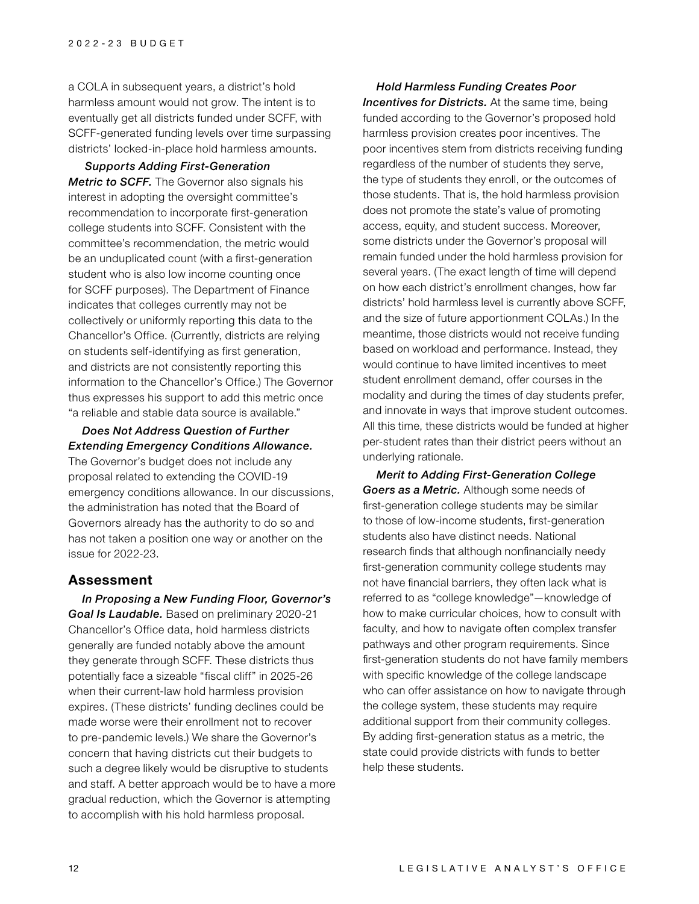a COLA in subsequent years, a district's hold harmless amount would not grow. The intent is to eventually get all districts funded under SCFF, with SCFF-generated funding levels over time surpassing districts' locked-in-place hold harmless amounts.

 *Supports Adding First-Generation Metric to SCFF.* The Governor also signals his interest in adopting the oversight committee's recommendation to incorporate first-generation college students into SCFF. Consistent with the committee's recommendation, the metric would be an unduplicated count (with a first-generation student who is also low income counting once for SCFF purposes). The Department of Finance indicates that colleges currently may not be collectively or uniformly reporting this data to the Chancellor's Office. (Currently, districts are relying on students self-identifying as first generation, and districts are not consistently reporting this information to the Chancellor's Office.) The Governor thus expresses his support to add this metric once "a reliable and stable data source is available."

#### *Does Not Address Question of Further Extending Emergency Conditions Allowance.*

The Governor's budget does not include any proposal related to extending the COVID-19 emergency conditions allowance. In our discussions, the administration has noted that the Board of Governors already has the authority to do so and has not taken a position one way or another on the issue for 2022-23.

#### **Assessment**

*In Proposing a New Funding Floor, Governor's Goal Is Laudable.* Based on preliminary 2020-21 Chancellor's Office data, hold harmless districts generally are funded notably above the amount they generate through SCFF. These districts thus potentially face a sizeable "fiscal cliff" in 2025-26 when their current-law hold harmless provision expires. (These districts' funding declines could be made worse were their enrollment not to recover to pre-pandemic levels.) We share the Governor's concern that having districts cut their budgets to such a degree likely would be disruptive to students and staff. A better approach would be to have a more gradual reduction, which the Governor is attempting to accomplish with his hold harmless proposal.

*Hold Harmless Funding Creates Poor Incentives for Districts.* At the same time, being funded according to the Governor's proposed hold harmless provision creates poor incentives. The poor incentives stem from districts receiving funding regardless of the number of students they serve, the type of students they enroll, or the outcomes of those students. That is, the hold harmless provision does not promote the state's value of promoting access, equity, and student success. Moreover, some districts under the Governor's proposal will remain funded under the hold harmless provision for several years. (The exact length of time will depend on how each district's enrollment changes, how far districts' hold harmless level is currently above SCFF, and the size of future apportionment COLAs.) In the meantime, those districts would not receive funding based on workload and performance. Instead, they would continue to have limited incentives to meet student enrollment demand, offer courses in the modality and during the times of day students prefer, and innovate in ways that improve student outcomes. All this time, these districts would be funded at higher per-student rates than their district peers without an underlying rationale.

*Merit to Adding First-Generation College Goers as a Metric.* Although some needs of first-generation college students may be similar to those of low-income students, first-generation students also have distinct needs. National research finds that although nonfinancially needy first-generation community college students may not have financial barriers, they often lack what is referred to as "college knowledge"—knowledge of how to make curricular choices, how to consult with faculty, and how to navigate often complex transfer pathways and other program requirements. Since first-generation students do not have family members with specific knowledge of the college landscape who can offer assistance on how to navigate through the college system, these students may require additional support from their community colleges. By adding first-generation status as a metric, the state could provide districts with funds to better help these students.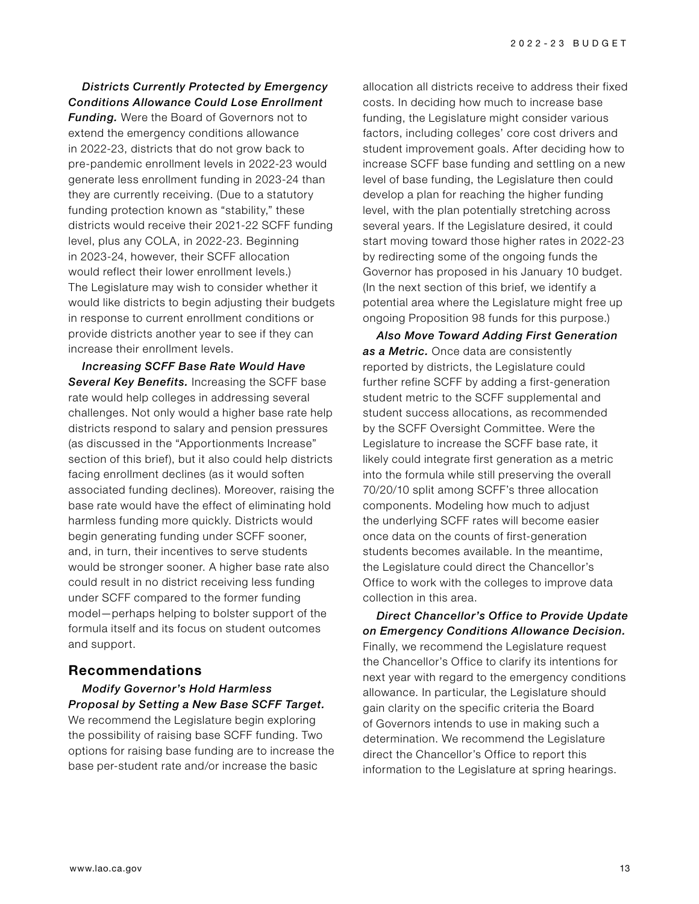#### *Districts Currently Protected by Emergency Conditions Allowance Could Lose Enrollment*

*Funding.* Were the Board of Governors not to extend the emergency conditions allowance in 2022-23, districts that do not grow back to pre-pandemic enrollment levels in 2022-23 would generate less enrollment funding in 2023-24 than they are currently receiving. (Due to a statutory funding protection known as "stability," these districts would receive their 2021-22 SCFF funding level, plus any COLA, in 2022-23. Beginning in 2023-24, however, their SCFF allocation would reflect their lower enrollment levels.) The Legislature may wish to consider whether it would like districts to begin adjusting their budgets in response to current enrollment conditions or provide districts another year to see if they can increase their enrollment levels.

*Increasing SCFF Base Rate Would Have Several Key Benefits.* Increasing the SCFF base rate would help colleges in addressing several challenges. Not only would a higher base rate help districts respond to salary and pension pressures (as discussed in the "Apportionments Increase" section of this brief), but it also could help districts facing enrollment declines (as it would soften associated funding declines). Moreover, raising the base rate would have the effect of eliminating hold harmless funding more quickly. Districts would begin generating funding under SCFF sooner, and, in turn, their incentives to serve students would be stronger sooner. A higher base rate also could result in no district receiving less funding under SCFF compared to the former funding model—perhaps helping to bolster support of the formula itself and its focus on student outcomes and support.

# **Recommendations**

*Modify Governor's Hold Harmless Proposal by Setting a New Base SCFF Target.* We recommend the Legislature begin exploring the possibility of raising base SCFF funding. Two options for raising base funding are to increase the base per-student rate and/or increase the basic

allocation all districts receive to address their fixed costs. In deciding how much to increase base funding, the Legislature might consider various factors, including colleges' core cost drivers and student improvement goals. After deciding how to increase SCFF base funding and settling on a new level of base funding, the Legislature then could develop a plan for reaching the higher funding level, with the plan potentially stretching across several years. If the Legislature desired, it could start moving toward those higher rates in 2022-23 by redirecting some of the ongoing funds the Governor has proposed in his January 10 budget. (In the next section of this brief, we identify a potential area where the Legislature might free up ongoing Proposition 98 funds for this purpose.)

*Also Move Toward Adding First Generation as a Metric.* Once data are consistently reported by districts, the Legislature could further refine SCFF by adding a first-generation student metric to the SCFF supplemental and student success allocations, as recommended by the SCFF Oversight Committee. Were the Legislature to increase the SCFF base rate, it likely could integrate first generation as a metric into the formula while still preserving the overall 70/20/10 split among SCFF's three allocation components. Modeling how much to adjust the underlying SCFF rates will become easier once data on the counts of first-generation students becomes available. In the meantime, the Legislature could direct the Chancellor's Office to work with the colleges to improve data collection in this area.

*Direct Chancellor's Office to Provide Update on Emergency Conditions Allowance Decision.*  Finally, we recommend the Legislature request the Chancellor's Office to clarify its intentions for next year with regard to the emergency conditions allowance. In particular, the Legislature should gain clarity on the specific criteria the Board of Governors intends to use in making such a determination. We recommend the Legislature direct the Chancellor's Office to report this information to the Legislature at spring hearings.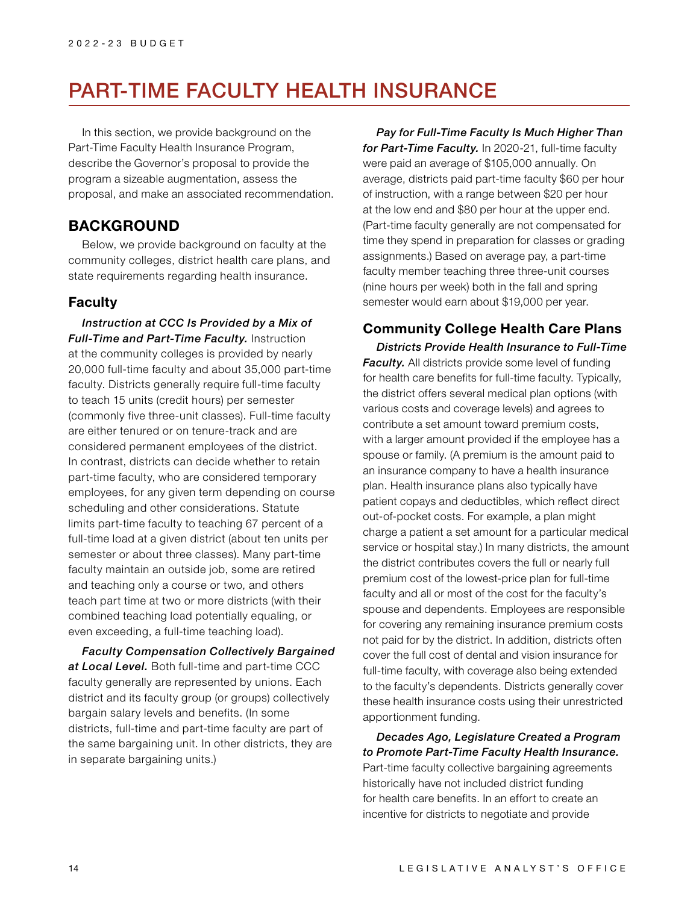# PART-TIME FACULTY HEALTH INSURANCE

In this section, we provide background on the Part-Time Faculty Health Insurance Program, describe the Governor's proposal to provide the program a sizeable augmentation, assess the proposal, and make an associated recommendation.

# **BACKGROUND**

Below, we provide background on faculty at the community colleges, district health care plans, and state requirements regarding health insurance.

### **Faculty**

*Instruction at CCC Is Provided by a Mix of Full-Time and Part-Time Faculty.* Instruction at the community colleges is provided by nearly 20,000 full-time faculty and about 35,000 part-time faculty. Districts generally require full-time faculty to teach 15 units (credit hours) per semester (commonly five three-unit classes). Full-time faculty are either tenured or on tenure-track and are considered permanent employees of the district. In contrast, districts can decide whether to retain part-time faculty, who are considered temporary employees, for any given term depending on course scheduling and other considerations. Statute limits part-time faculty to teaching 67 percent of a full-time load at a given district (about ten units per semester or about three classes). Many part-time faculty maintain an outside job, some are retired and teaching only a course or two, and others teach part time at two or more districts (with their combined teaching load potentially equaling, or even exceeding, a full-time teaching load).

*Faculty Compensation Collectively Bargained at Local Level.* Both full-time and part-time CCC faculty generally are represented by unions. Each district and its faculty group (or groups) collectively bargain salary levels and benefits. (In some districts, full-time and part-time faculty are part of the same bargaining unit. In other districts, they are in separate bargaining units.)

*Pay for Full-Time Faculty Is Much Higher Than for Part-Time Faculty.* In 2020-21, full-time faculty were paid an average of \$105,000 annually. On average, districts paid part-time faculty \$60 per hour of instruction, with a range between \$20 per hour at the low end and \$80 per hour at the upper end. (Part-time faculty generally are not compensated for time they spend in preparation for classes or grading assignments.) Based on average pay, a part-time faculty member teaching three three-unit courses (nine hours per week) both in the fall and spring semester would earn about \$19,000 per year.

# **Community College Health Care Plans**

*Districts Provide Health Insurance to Full-Time Faculty.* All districts provide some level of funding for health care benefits for full-time faculty. Typically, the district offers several medical plan options (with various costs and coverage levels) and agrees to contribute a set amount toward premium costs, with a larger amount provided if the employee has a spouse or family. (A premium is the amount paid to an insurance company to have a health insurance plan. Health insurance plans also typically have patient copays and deductibles, which reflect direct out-of-pocket costs. For example, a plan might charge a patient a set amount for a particular medical service or hospital stay.) In many districts, the amount the district contributes covers the full or nearly full premium cost of the lowest-price plan for full-time faculty and all or most of the cost for the faculty's spouse and dependents. Employees are responsible for covering any remaining insurance premium costs not paid for by the district. In addition, districts often cover the full cost of dental and vision insurance for full-time faculty, with coverage also being extended to the faculty's dependents. Districts generally cover these health insurance costs using their unrestricted apportionment funding.

*Decades Ago, Legislature Created a Program to Promote Part-Time Faculty Health Insurance.*  Part-time faculty collective bargaining agreements historically have not included district funding for health care benefits. In an effort to create an incentive for districts to negotiate and provide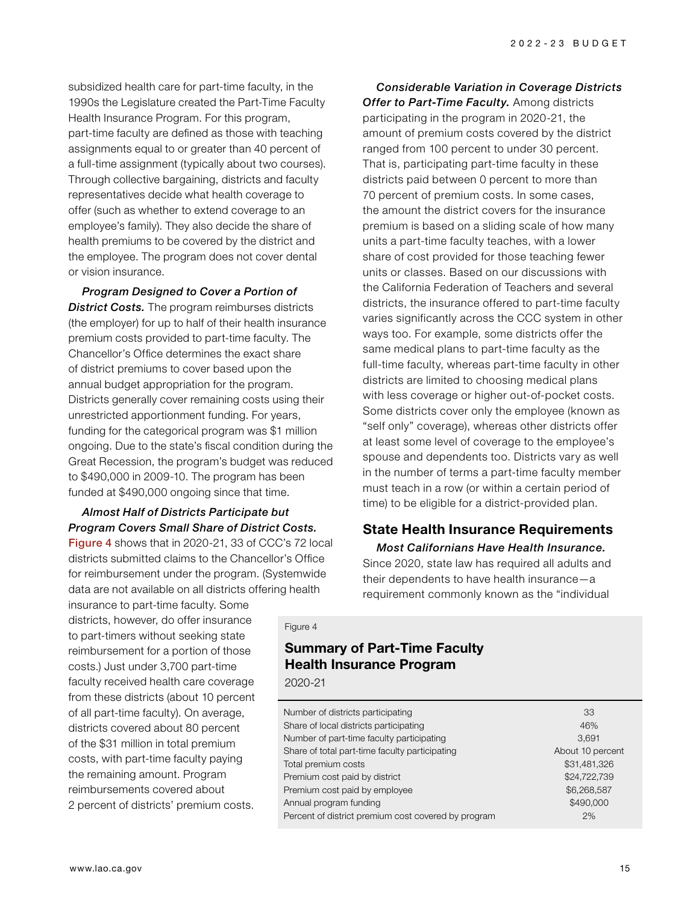subsidized health care for part-time faculty, in the 1990s the Legislature created the Part-Time Faculty Health Insurance Program. For this program, part-time faculty are defined as those with teaching assignments equal to or greater than 40 percent of a full-time assignment (typically about two courses). Through collective bargaining, districts and faculty representatives decide what health coverage to offer (such as whether to extend coverage to an employee's family). They also decide the share of health premiums to be covered by the district and the employee. The program does not cover dental or vision insurance.

*Program Designed to Cover a Portion of*  **District Costs.** The program reimburses districts (the employer) for up to half of their health insurance premium costs provided to part-time faculty. The Chancellor's Office determines the exact share of district premiums to cover based upon the annual budget appropriation for the program. Districts generally cover remaining costs using their unrestricted apportionment funding. For years, funding for the categorical program was \$1 million ongoing. Due to the state's fiscal condition during the Great Recession, the program's budget was reduced to \$490,000 in 2009-10. The program has been funded at \$490,000 ongoing since that time.

#### *Almost Half of Districts Participate but Program Covers Small Share of District Costs.*  Figure 4 shows that in 2020-21, 33 of CCC's 72 local

districts submitted claims to the Chancellor's Office for reimbursement under the program. (Systemwide data are not available on all districts offering health

insurance to part-time faculty. Some districts, however, do offer insurance to part-timers without seeking state reimbursement for a portion of those costs.) Just under 3,700 part-time faculty received health care coverage from these districts (about 10 percent of all part-time faculty). On average, districts covered about 80 percent of the \$31 million in total premium costs, with part-time faculty paying the remaining amount. Program reimbursements covered about 2 percent of districts' premium costs.

*Considerable Variation in Coverage Districts*  **Offer to Part-Time Faculty.** Among districts participating in the program in 2020-21, the amount of premium costs covered by the district ranged from 100 percent to under 30 percent. That is, participating part-time faculty in these districts paid between 0 percent to more than 70 percent of premium costs. In some cases, the amount the district covers for the insurance premium is based on a sliding scale of how many units a part-time faculty teaches, with a lower share of cost provided for those teaching fewer units or classes. Based on our discussions with the California Federation of Teachers and several districts, the insurance offered to part-time faculty varies significantly across the CCC system in other ways too. For example, some districts offer the same medical plans to part-time faculty as the full-time faculty, whereas part-time faculty in other districts are limited to choosing medical plans with less coverage or higher out-of-pocket costs. Some districts cover only the employee (known as "self only" coverage), whereas other districts offer at least some level of coverage to the employee's spouse and dependents too. Districts vary as well in the number of terms a part-time faculty member must teach in a row (or within a certain period of time) to be eligible for a district-provided plan.

# **State Health Insurance Requirements**

*Most Californians Have Health Insurance.*  Since 2020, state law has required all adults and their dependents to have health insurance—a requirement commonly known as the "individual

#### Figure 4

# **Summary of Part-Time Faculty Health Insurance Program**

2020-21

| Number of districts participating                   | 33               |
|-----------------------------------------------------|------------------|
| Share of local districts participating              | 46%              |
| Number of part-time faculty participating           | 3.691            |
| Share of total part-time faculty participating      | About 10 percent |
| Total premium costs                                 | \$31,481,326     |
| Premium cost paid by district                       | \$24,722,739     |
| Premium cost paid by employee                       | \$6,268,587      |
| Annual program funding                              | \$490,000        |
| Percent of district premium cost covered by program | 2%               |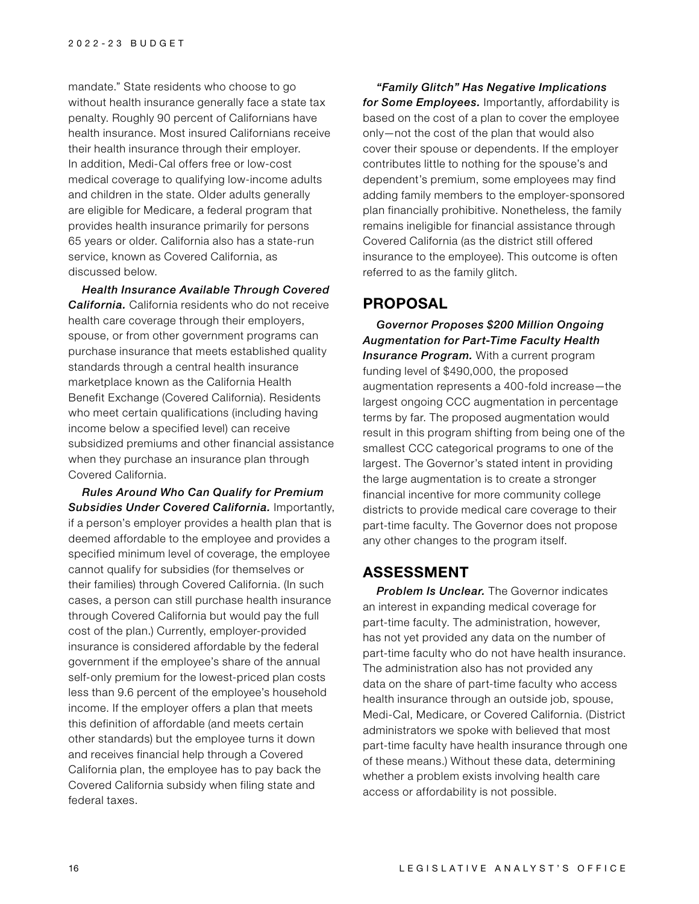mandate." State residents who choose to go without health insurance generally face a state tax penalty. Roughly 90 percent of Californians have health insurance. Most insured Californians receive their health insurance through their employer. In addition, Medi-Cal offers free or low-cost medical coverage to qualifying low-income adults and children in the state. Older adults generally are eligible for Medicare, a federal program that provides health insurance primarily for persons 65 years or older. California also has a state-run service, known as Covered California, as discussed below.

*Health Insurance Available Through Covered California.* California residents who do not receive health care coverage through their employers, spouse, or from other government programs can purchase insurance that meets established quality standards through a central health insurance marketplace known as the California Health Benefit Exchange (Covered California). Residents who meet certain qualifications (including having income below a specified level) can receive subsidized premiums and other financial assistance when they purchase an insurance plan through Covered California.

*Rules Around Who Can Qualify for Premium Subsidies Under Covered California.* Importantly, if a person's employer provides a health plan that is deemed affordable to the employee and provides a specified minimum level of coverage, the employee cannot qualify for subsidies (for themselves or their families) through Covered California. (In such cases, a person can still purchase health insurance through Covered California but would pay the full cost of the plan.) Currently, employer-provided insurance is considered affordable by the federal government if the employee's share of the annual self-only premium for the lowest-priced plan costs less than 9.6 percent of the employee's household income. If the employer offers a plan that meets this definition of affordable (and meets certain other standards) but the employee turns it down and receives financial help through a Covered California plan, the employee has to pay back the Covered California subsidy when filing state and federal taxes.

*"Family Glitch" Has Negative Implications for Some Employees.* Importantly, affordability is based on the cost of a plan to cover the employee only—not the cost of the plan that would also cover their spouse or dependents. If the employer contributes little to nothing for the spouse's and dependent's premium, some employees may find adding family members to the employer-sponsored plan financially prohibitive. Nonetheless, the family remains ineligible for financial assistance through Covered California (as the district still offered insurance to the employee). This outcome is often referred to as the family glitch.

# **PROPOSAL**

*Governor Proposes \$200 Million Ongoing Augmentation for Part-Time Faculty Health*  **Insurance Program.** With a current program funding level of \$490,000, the proposed augmentation represents a 400-fold increase—the largest ongoing CCC augmentation in percentage terms by far. The proposed augmentation would result in this program shifting from being one of the smallest CCC categorical programs to one of the largest. The Governor's stated intent in providing the large augmentation is to create a stronger financial incentive for more community college districts to provide medical care coverage to their part-time faculty. The Governor does not propose any other changes to the program itself.

# **ASSESSMENT**

*Problem Is Unclear.* The Governor indicates an interest in expanding medical coverage for part-time faculty. The administration, however, has not yet provided any data on the number of part-time faculty who do not have health insurance. The administration also has not provided any data on the share of part-time faculty who access health insurance through an outside job, spouse, Medi-Cal, Medicare, or Covered California. (District administrators we spoke with believed that most part-time faculty have health insurance through one of these means.) Without these data, determining whether a problem exists involving health care access or affordability is not possible.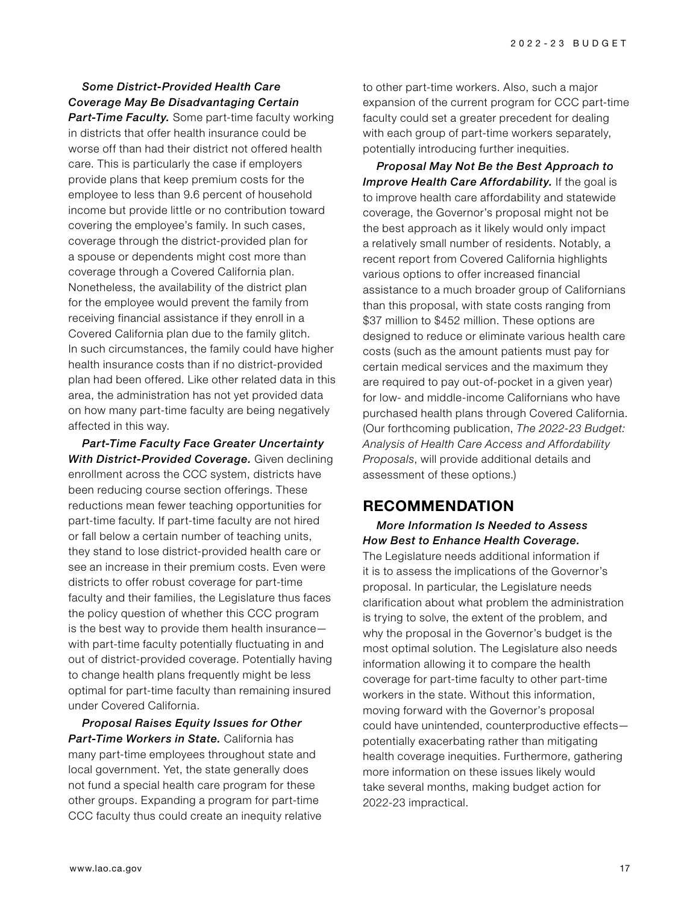# *Some District-Provided Health Care Coverage May Be Disadvantaging Certain*

*Part-Time Faculty.* Some part-time faculty working in districts that offer health insurance could be worse off than had their district not offered health care. This is particularly the case if employers provide plans that keep premium costs for the employee to less than 9.6 percent of household income but provide little or no contribution toward covering the employee's family. In such cases, coverage through the district-provided plan for a spouse or dependents might cost more than coverage through a Covered California plan. Nonetheless, the availability of the district plan for the employee would prevent the family from receiving financial assistance if they enroll in a Covered California plan due to the family glitch. In such circumstances, the family could have higher health insurance costs than if no district-provided plan had been offered. Like other related data in this area, the administration has not yet provided data on how many part-time faculty are being negatively affected in this way.

*Part-Time Faculty Face Greater Uncertainty With District-Provided Coverage.* Given declining enrollment across the CCC system, districts have been reducing course section offerings. These reductions mean fewer teaching opportunities for part-time faculty. If part-time faculty are not hired or fall below a certain number of teaching units, they stand to lose district-provided health care or see an increase in their premium costs. Even were districts to offer robust coverage for part-time faculty and their families, the Legislature thus faces the policy question of whether this CCC program is the best way to provide them health insurance with part-time faculty potentially fluctuating in and out of district-provided coverage. Potentially having to change health plans frequently might be less optimal for part-time faculty than remaining insured under Covered California.

*Proposal Raises Equity Issues for Other Part-Time Workers in State.* California has many part-time employees throughout state and local government. Yet, the state generally does not fund a special health care program for these other groups. Expanding a program for part-time CCC faculty thus could create an inequity relative to other part-time workers. Also, such a major expansion of the current program for CCC part-time faculty could set a greater precedent for dealing with each group of part-time workers separately, potentially introducing further inequities.

*Proposal May Not Be the Best Approach to Improve Health Care Affordability.* If the goal is to improve health care affordability and statewide coverage, the Governor's proposal might not be the best approach as it likely would only impact a relatively small number of residents. Notably, a recent report from Covered California highlights various options to offer increased financial assistance to a much broader group of Californians than this proposal, with state costs ranging from \$37 million to \$452 million. These options are designed to reduce or eliminate various health care costs (such as the amount patients must pay for certain medical services and the maximum they are required to pay out-of-pocket in a given year) for low- and middle-income Californians who have purchased health plans through Covered California. (Our forthcoming publication, *The 2022-23 Budget: Analysis of Health Care Access and Affordability Proposals*, will provide additional details and assessment of these options.)

# **RECOMMENDATION**

# *More Information Is Needed to Assess How Best to Enhance Health Coverage.*

The Legislature needs additional information if it is to assess the implications of the Governor's proposal. In particular, the Legislature needs clarification about what problem the administration is trying to solve, the extent of the problem, and why the proposal in the Governor's budget is the most optimal solution. The Legislature also needs information allowing it to compare the health coverage for part-time faculty to other part-time workers in the state. Without this information, moving forward with the Governor's proposal could have unintended, counterproductive effects potentially exacerbating rather than mitigating health coverage inequities. Furthermore, gathering more information on these issues likely would take several months, making budget action for 2022-23 impractical.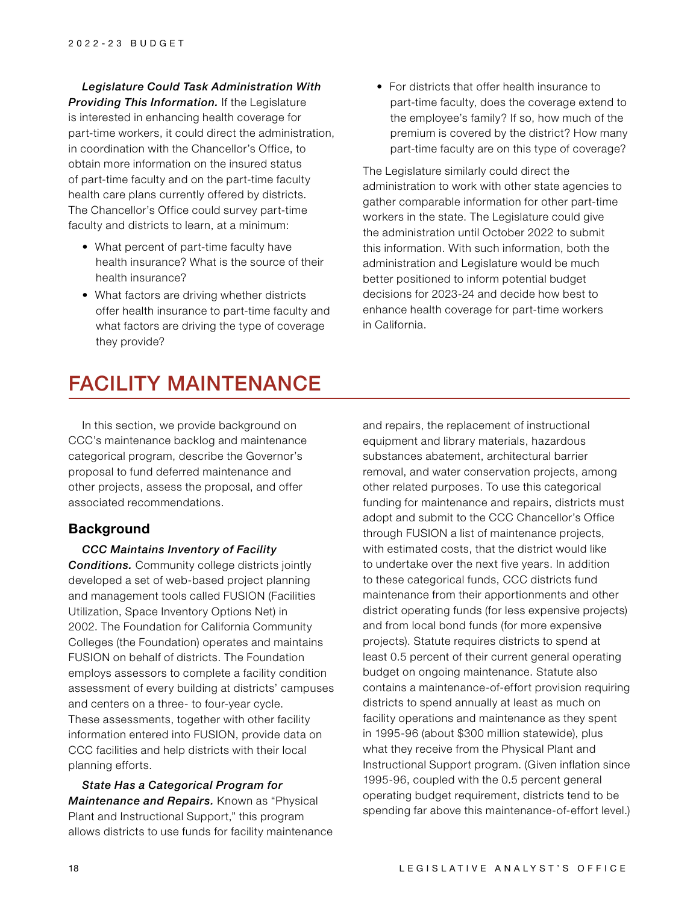*Legislature Could Task Administration With Providing This Information.* If the Legislature is interested in enhancing health coverage for part-time workers, it could direct the administration, in coordination with the Chancellor's Office, to obtain more information on the insured status of part-time faculty and on the part-time faculty health care plans currently offered by districts. The Chancellor's Office could survey part-time faculty and districts to learn, at a minimum:

- What percent of part-time faculty have health insurance? What is the source of their health insurance?
- What factors are driving whether districts offer health insurance to part-time faculty and what factors are driving the type of coverage they provide?

• For districts that offer health insurance to part-time faculty, does the coverage extend to the employee's family? If so, how much of the premium is covered by the district? How many part-time faculty are on this type of coverage?

The Legislature similarly could direct the administration to work with other state agencies to gather comparable information for other part-time workers in the state. The Legislature could give the administration until October 2022 to submit this information. With such information, both the administration and Legislature would be much better positioned to inform potential budget decisions for 2023-24 and decide how best to enhance health coverage for part-time workers in California.

# FACILITY MAINTENANCE

In this section, we provide background on CCC's maintenance backlog and maintenance categorical program, describe the Governor's proposal to fund deferred maintenance and other projects, assess the proposal, and offer associated recommendations.

#### **Background**

*CCC Maintains Inventory of Facility* 

*Conditions.* Community college districts jointly developed a set of web-based project planning and management tools called FUSION (Facilities Utilization, Space Inventory Options Net) in 2002. The Foundation for California Community Colleges (the Foundation) operates and maintains FUSION on behalf of districts. The Foundation employs assessors to complete a facility condition assessment of every building at districts' campuses and centers on a three- to four-year cycle. These assessments, together with other facility information entered into FUSION, provide data on CCC facilities and help districts with their local planning efforts.

*State Has a Categorical Program for Maintenance and Repairs.* Known as "Physical Plant and Instructional Support," this program allows districts to use funds for facility maintenance and repairs, the replacement of instructional equipment and library materials, hazardous substances abatement, architectural barrier removal, and water conservation projects, among other related purposes. To use this categorical funding for maintenance and repairs, districts must adopt and submit to the CCC Chancellor's Office through FUSION a list of maintenance projects, with estimated costs, that the district would like to undertake over the next five years. In addition to these categorical funds, CCC districts fund maintenance from their apportionments and other district operating funds (for less expensive projects) and from local bond funds (for more expensive projects). Statute requires districts to spend at least 0.5 percent of their current general operating budget on ongoing maintenance. Statute also contains a maintenance-of-effort provision requiring districts to spend annually at least as much on facility operations and maintenance as they spent in 1995-96 (about \$300 million statewide), plus what they receive from the Physical Plant and Instructional Support program. (Given inflation since 1995-96, coupled with the 0.5 percent general operating budget requirement, districts tend to be spending far above this maintenance-of-effort level.)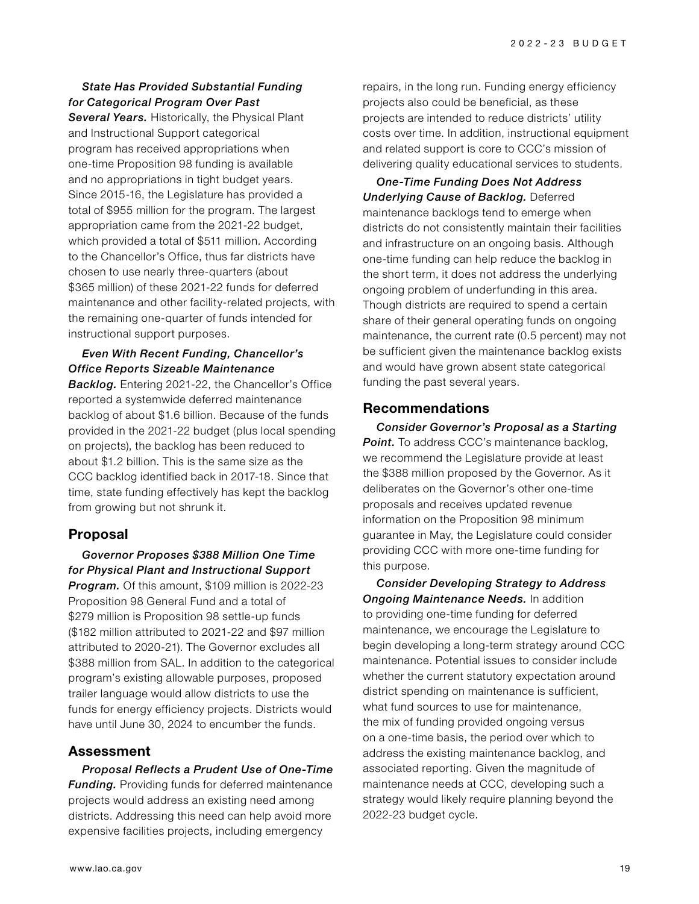#### *State Has Provided Substantial Funding for Categorical Program Over Past*

*Several Years.* Historically, the Physical Plant and Instructional Support categorical program has received appropriations when one-time Proposition 98 funding is available and no appropriations in tight budget years. Since 2015-16, the Legislature has provided a total of \$955 million for the program. The largest appropriation came from the 2021-22 budget, which provided a total of \$511 million. According to the Chancellor's Office, thus far districts have chosen to use nearly three-quarters (about \$365 million) of these 2021-22 funds for deferred maintenance and other facility-related projects, with the remaining one-quarter of funds intended for instructional support purposes.

#### *Even With Recent Funding, Chancellor's Office Reports Sizeable Maintenance*

*Backlog.* Entering 2021-22, the Chancellor's Office reported a systemwide deferred maintenance backlog of about \$1.6 billion. Because of the funds provided in the 2021-22 budget (plus local spending on projects), the backlog has been reduced to about \$1.2 billion. This is the same size as the CCC backlog identified back in 2017-18. Since that time, state funding effectively has kept the backlog from growing but not shrunk it.

# **Proposal**

# *Governor Proposes \$388 Million One Time for Physical Plant and Instructional Support*

*Program.* Of this amount, \$109 million is 2022-23 Proposition 98 General Fund and a total of \$279 million is Proposition 98 settle-up funds (\$182 million attributed to 2021-22 and \$97 million attributed to 2020-21). The Governor excludes all \$388 million from SAL. In addition to the categorical program's existing allowable purposes, proposed trailer language would allow districts to use the funds for energy efficiency projects. Districts would have until June 30, 2024 to encumber the funds.

# **Assessment**

*Proposal Reflects a Prudent Use of One-Time*  **Funding.** Providing funds for deferred maintenance projects would address an existing need among districts. Addressing this need can help avoid more expensive facilities projects, including emergency

repairs, in the long run. Funding energy efficiency projects also could be beneficial, as these projects are intended to reduce districts' utility costs over time. In addition, instructional equipment and related support is core to CCC's mission of delivering quality educational services to students.

*One-Time Funding Does Not Address Underlying Cause of Backlog.* Deferred maintenance backlogs tend to emerge when districts do not consistently maintain their facilities and infrastructure on an ongoing basis. Although one-time funding can help reduce the backlog in the short term, it does not address the underlying ongoing problem of underfunding in this area. Though districts are required to spend a certain share of their general operating funds on ongoing maintenance, the current rate (0.5 percent) may not be sufficient given the maintenance backlog exists and would have grown absent state categorical funding the past several years.

# **Recommendations**

*Consider Governor's Proposal as a Starting*  **Point.** To address CCC's maintenance backlog, we recommend the Legislature provide at least the \$388 million proposed by the Governor. As it deliberates on the Governor's other one-time proposals and receives updated revenue information on the Proposition 98 minimum guarantee in May, the Legislature could consider providing CCC with more one-time funding for this purpose.

*Consider Developing Strategy to Address Ongoing Maintenance Needs.* In addition to providing one-time funding for deferred maintenance, we encourage the Legislature to begin developing a long-term strategy around CCC maintenance. Potential issues to consider include whether the current statutory expectation around district spending on maintenance is sufficient, what fund sources to use for maintenance, the mix of funding provided ongoing versus on a one-time basis, the period over which to address the existing maintenance backlog, and associated reporting. Given the magnitude of maintenance needs at CCC, developing such a strategy would likely require planning beyond the 2022-23 budget cycle.